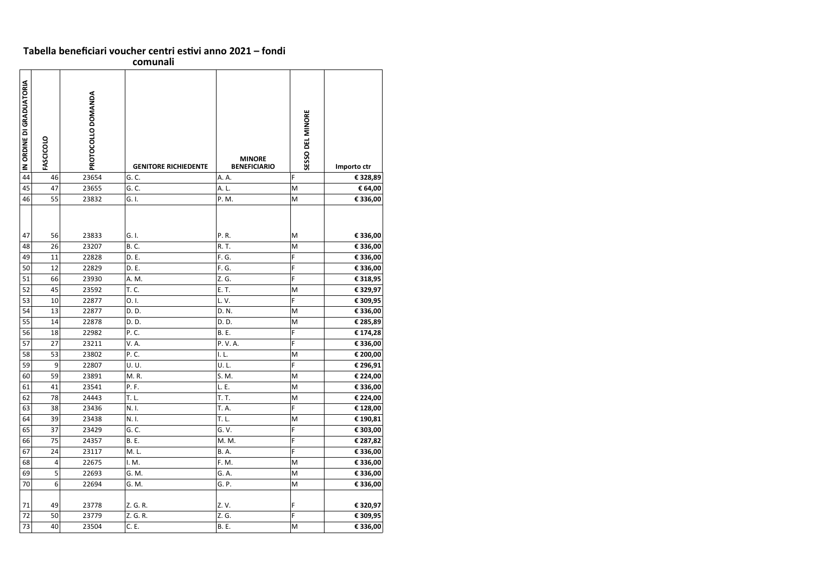| Tabella beneficiari voucher centri estivi anno 2021 – fondi |  |
|-------------------------------------------------------------|--|
| comunali                                                    |  |

| IN ORDINE DI GRADUATORIA | FASCICOLO | PROTOCOLLO DOMANDA | <b>GENITORE RICHIEDENTE</b> | <b>MINORE</b><br><b>BENEFICIARIO</b> | <b>SESSO DEL MINORE</b> | Importo ctr |
|--------------------------|-----------|--------------------|-----------------------------|--------------------------------------|-------------------------|-------------|
| 44                       | 46        | 23654              | G.C.                        | A. A.                                | F                       | € 328,89    |
| 45                       | 47        | 23655              | G.C.                        | A. L.                                | M                       | € 64,00     |
| 46                       | 55        | 23832              | G. I.                       | P. M.                                | M                       | € 336,00    |
| 47                       | 56        | 23833              | G. I.                       | P.R.                                 | M                       | € 336,00    |
| 48                       | 26        | 23207              | <b>B.C.</b>                 | R. T.                                | M                       | € 336,00    |
| 49                       | 11        | 22828              | D. E.                       | F. G.                                | F                       | € 336,00    |
| 50                       | 12        | 22829              | D. E.                       | F. G.                                | F                       | € 336,00    |
| 51                       | 66        | 23930              | A. M.                       | Z. G.                                | F                       | € 318,95    |
| 52                       | 45        | 23592              | T. C.                       | E. T.                                | M                       | € 329,97    |
| 53                       | 10        | 22877              | O.I.                        | L.V.                                 | F                       | € 309,95    |
| 54                       | 13        | 22877              | D. D.                       | D. N.                                | M                       | € 336,00    |
| 55                       | 14        | 22878              | D. D.                       | D. D.                                | ${\sf M}$               | € 285,89    |
| 56                       | 18        | 22982              | P. C.                       | <b>B.</b> E.                         | F                       | €174,28     |
| 57                       | 27        | 23211              | V. A.                       | P.V.A.                               | F                       | € 336,00    |
| 58                       | 53        | 23802              | P. C.                       | l. L.                                | ${\sf M}$               | € 200,00    |
| 59                       | 9         | 22807              | U.U.                        | U.L.                                 | F                       | € 296,91    |
| 60                       | 59        | 23891              | M.R.                        | S. M.                                | ${\sf M}$               | € 224,00    |
| 61                       | 41        | 23541              | P. F.                       | L. E.                                | M                       | € 336,00    |
| 62                       | 78        | 24443              | T. L.                       | T. T.                                | M                       | € 224,00    |
| 63                       | 38        | 23436              | N. I.                       | T. A.                                | F                       | € 128,00    |
| 64                       | 39        | 23438              | N. I.                       | T. L.                                | M                       | € 190,81    |
| 65                       | 37        | 23429              | G. C.                       | G. V.                                | F                       | € 303,00    |
| 66                       | 75        | 24357              | <b>B.</b> E.                | M. M.                                | F                       | € 287,82    |
| 67                       | 24        | 23117              | M.L.                        | <b>B.A.</b>                          | F                       | € 336,00    |
| 68                       | 4         | 22675              | I. M.                       | F. M.                                | M                       | € 336,00    |
| 69                       | 5         | 22693              | G. M.                       | G. A.                                | M                       | € 336,00    |
| 70                       | $6 \mid$  | 22694              | G. M.                       | G. P.                                | M                       | € 336,00    |
|                          |           |                    |                             |                                      |                         |             |
| 71                       | 49        | 23778              | Z. G. R.                    | Z.V.                                 | F                       | € 320,97    |
| 72                       | 50        | 23779              | Z. G. R.                    | Z. G.                                | F                       | € 309,95    |
| 73                       | 40        | 23504              | C. E.                       | <b>B.</b> E.                         | M                       | € 336,00    |